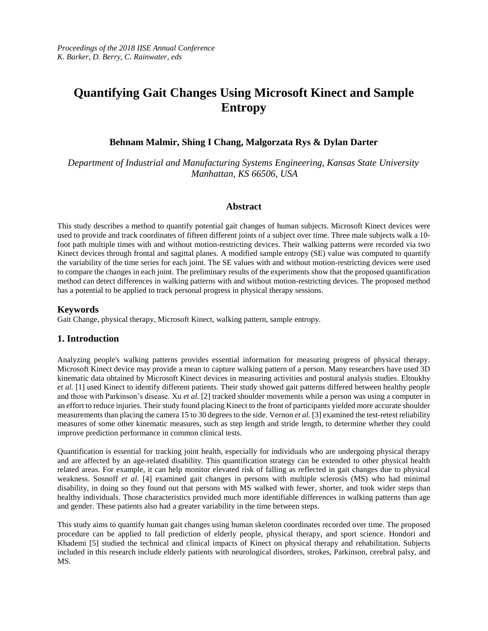# **Quantifying Gait Changes Using Microsoft Kinect and Sample Entropy**

## **Behnam Malmir, Shing I Chang, Malgorzata Rys & Dylan Darter**

*Department of Industrial and Manufacturing Systems Engineering, Kansas State University Manhattan, KS 66506, USA*

#### **Abstract**

This study describes a method to quantify potential gait changes of human subjects. Microsoft Kinect devices were used to provide and track coordinates of fifteen different joints of a subject over time. Three male subjects walk a 10 foot path multiple times with and without motion-restricting devices. Their walking patterns were recorded via two Kinect devices through frontal and sagittal planes. A modified sample entropy (SE) value was computed to quantify the variability of the time series for each joint. The SE values with and without motion-restricting devices were used to compare the changes in each joint. The preliminary results of the experiments show that the proposed quantification method can detect differences in walking patterns with and without motion-restricting devices. The proposed method has a potential to be applied to track personal progress in physical therapy sessions.

## **Keywords**

Gait Change, physical therapy, Microsoft Kinect, walking pattern, sample entropy.

### **1. Introduction**

Analyzing people's walking patterns provides essential information for measuring progress of physical therapy. Microsoft Kinect device may provide a mean to capture walking pattern of a person. Many researchers have used 3D kinematic data obtained by Microsoft Kinect devices in measuring activities and postural analysis studies. Eltoukhy *et al.* [1] used Kinect to identify different patients. Their study showed gait patterns differed between healthy people and those with Parkinson's disease. Xu *et al.* [2] tracked shoulder movements while a person was using a computer in an effort to reduce injuries. Their study found placing Kinect to the front of participants yielded more accurate shoulder measurements than placing the camera 15 to 30 degrees to the side. Vernon *et al.* [3] examined the test-retest reliability measures of some other kinematic measures, such as step length and stride length, to determine whether they could improve prediction performance in common clinical tests.

Quantification is essential for tracking joint health, especially for individuals who are undergoing physical therapy and are affected by an age-related disability. This quantification strategy can be extended to other physical health related areas. For example, it can help monitor elevated risk of falling as reflected in gait changes due to physical weakness. Sosnoff *et al.* [4] examined gait changes in persons with multiple sclerosis (MS) who had minimal disability, in doing so they found out that persons with MS walked with fewer, shorter, and took wider steps than healthy individuals. Those characteristics provided much more identifiable differences in walking patterns than age and gender. These patients also had a greater variability in the time between steps.

This study aims to quantify human gait changes using human skeleton coordinates recorded over time. The proposed procedure can be applied to fall prediction of elderly people, physical therapy, and sport science. Hondori and Khademi [5] studied the technical and clinical impacts of Kinect on physical therapy and rehabilitation. Subjects included in this research include elderly patients with neurological disorders, strokes, Parkinson, cerebral palsy, and MS.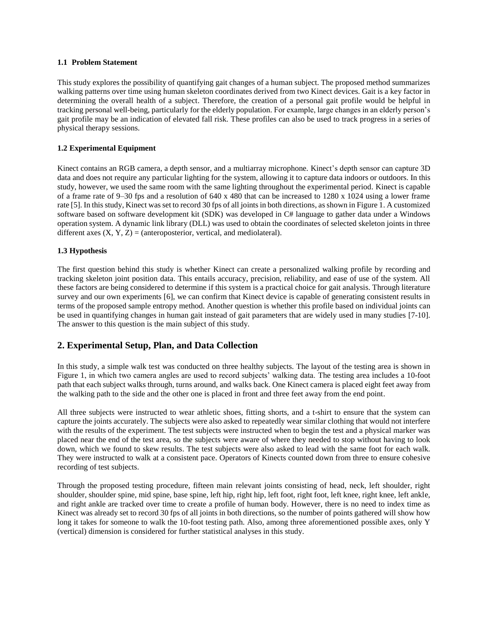#### **1.1 Problem Statement**

This study explores the possibility of quantifying gait changes of a human subject. The proposed method summarizes walking patterns over time using human skeleton coordinates derived from two Kinect devices. Gait is a key factor in determining the overall health of a subject. Therefore, the creation of a personal gait profile would be helpful in tracking personal well-being, particularly for the elderly population. For example, large changes in an elderly person's gait profile may be an indication of elevated fall risk. These profiles can also be used to track progress in a series of physical therapy sessions.

#### **1.2 Experimental Equipment**

Kinect contains an RGB camera, a depth sensor, and a multiarray microphone. Kinect's depth sensor can capture 3D data and does not require any particular lighting for the system, allowing it to capture data indoors or outdoors. In this study, however, we used the same room with the same lighting throughout the experimental period. Kinect is capable of a frame rate of 9–30 fps and a resolution of 640 x 480 that can be increased to 1280 x 1024 using a lower frame rate [5]. In this study, Kinect was set to record 30 fps of all joints in both directions, as shown in Figure 1. A customized software based on software development kit (SDK) was developed in C# language to gather data under a Windows operation system. A dynamic link library (DLL) was used to obtain the coordinates of selected skeleton joints in three different axes  $(X, Y, Z) =$  (anteroposterior, vertical, and mediolateral).

#### **1.3 Hypothesis**

The first question behind this study is whether Kinect can create a personalized walking profile by recording and tracking skeleton joint position data. This entails accuracy, precision, reliability, and ease of use of the system. All these factors are being considered to determine if this system is a practical choice for gait analysis. Through literature survey and our own experiments [6], we can confirm that Kinect device is capable of generating consistent results in terms of the proposed sample entropy method. Another question is whether this profile based on individual joints can be used in quantifying changes in human gait instead of gait parameters that are widely used in many studies [7-10]. The answer to this question is the main subject of this study.

# **2. Experimental Setup, Plan, and Data Collection**

In this study, a simple walk test was conducted on three healthy subjects. The layout of the testing area is shown in Figure 1, in which two camera angles are used to record subjects' walking data. The testing area includes a 10-foot path that each subject walks through, turns around, and walks back. One Kinect camera is placed eight feet away from the walking path to the side and the other one is placed in front and three feet away from the end point.

All three subjects were instructed to wear athletic shoes, fitting shorts, and a t-shirt to ensure that the system can capture the joints accurately. The subjects were also asked to repeatedly wear similar clothing that would not interfere with the results of the experiment. The test subjects were instructed when to begin the test and a physical marker was placed near the end of the test area, so the subjects were aware of where they needed to stop without having to look down, which we found to skew results. The test subjects were also asked to lead with the same foot for each walk. They were instructed to walk at a consistent pace. Operators of Kinects counted down from three to ensure cohesive recording of test subjects.

Through the proposed testing procedure, fifteen main relevant joints consisting of head, neck, left shoulder, right shoulder, shoulder spine, mid spine, base spine, left hip, right hip, left foot, right foot, left knee, right knee, left ankle, and right ankle are tracked over time to create a profile of human body. However, there is no need to index time as Kinect was already set to record 30 fps of all joints in both directions, so the number of points gathered will show how long it takes for someone to walk the 10-foot testing path. Also, among three aforementioned possible axes, only Y (vertical) dimension is considered for further statistical analyses in this study.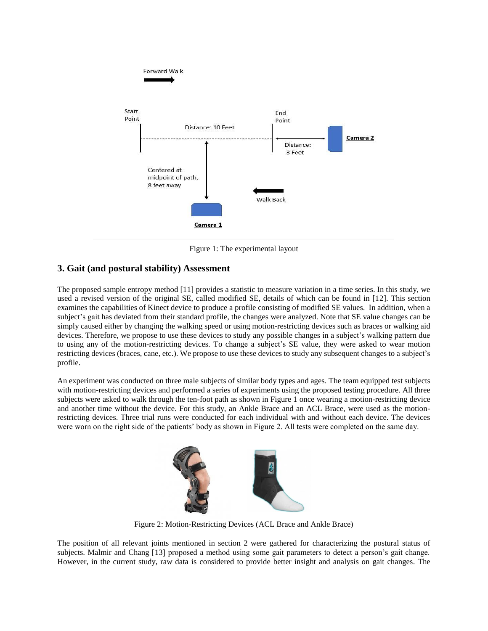

Figure 1: The experimental layout

# **3. Gait (and postural stability) Assessment**

The proposed sample entropy method [11] provides a statistic to measure variation in a time series. In this study, we used a revised version of the original SE, called modified SE, details of which can be found in [12]. This section examines the capabilities of Kinect device to produce a profile consisting of modified SE values. In addition, when a subject's gait has deviated from their standard profile, the changes were analyzed. Note that SE value changes can be simply caused either by changing the walking speed or using motion-restricting devices such as braces or walking aid devices. Therefore, we propose to use these devices to study any possible changes in a subject's walking pattern due to using any of the motion-restricting devices. To change a subject's SE value, they were asked to wear motion restricting devices (braces, cane, etc.). We propose to use these devices to study any subsequent changes to a subject's profile.

An experiment was conducted on three male subjects of similar body types and ages. The team equipped test subjects with motion-restricting devices and performed a series of experiments using the proposed testing procedure. All three subjects were asked to walk through the ten-foot path as shown in Figure 1 once wearing a motion-restricting device and another time without the device. For this study, an Ankle Brace and an ACL Brace, were used as the motionrestricting devices. Three trial runs were conducted for each individual with and without each device. The devices were worn on the right side of the patients' body as shown in Figure 2. All tests were completed on the same day.



Figure 2: Motion-Restricting Devices (ACL Brace and Ankle Brace)

The position of all relevant joints mentioned in section 2 were gathered for characterizing the postural status of subjects. Malmir and Chang [13] proposed a method using some gait parameters to detect a person's gait change. However, in the current study, raw data is considered to provide better insight and analysis on gait changes. The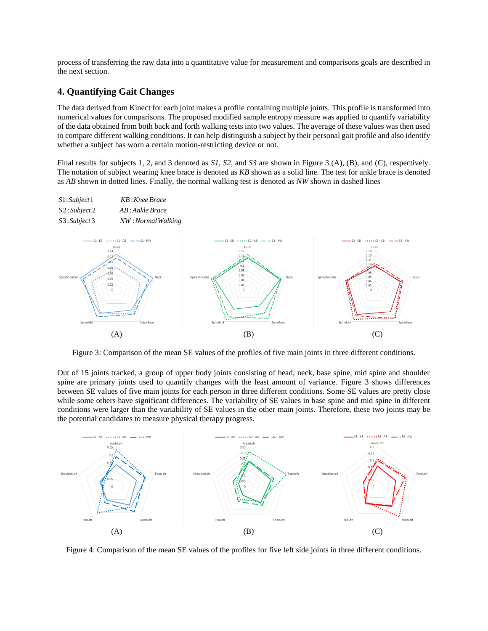process of transferring the raw data into a quantitative value for measurement and comparisons goals are described in the next section.

## **4. Quantifying Gait Changes**

The data derived from Kinect for each joint makes a profile containing multiple joints. This profile is transformed into numerical values for comparisons. The proposed modified sample entropy measure was applied to quantify variability of the data obtained from both back and forth walking tests into two values. The average of these values was then used to compare different walking conditions. It can help distinguish a subject by their personal gait profile and also identify whether a subject has worn a certain motion-restricting device or not.

Final results for subjects 1, 2, and 3 denoted as *S1*, *S2*, and *S3* are shown in Figure 3 (A), (B), and (C), respectively. The notation of subject wearing knee brace is denoted as *KB* shown as a solid line. The test for ankle brace is denoted as *AB* shown in dotted lines. Finally, the normal walking test is denoted as *NW* shown in dashed lines

|                                             | $\cdot$                                                                                                                               |                                                                                                                                                                                                                              |                                                                                                                                                                          |
|---------------------------------------------|---------------------------------------------------------------------------------------------------------------------------------------|------------------------------------------------------------------------------------------------------------------------------------------------------------------------------------------------------------------------------|--------------------------------------------------------------------------------------------------------------------------------------------------------------------------|
| S1:Subject1<br>S2:Subject2<br>S3: Subject 3 | KB: Knee Brace<br>AB: Ankle Brace<br>NW: Normal Walking                                                                               |                                                                                                                                                                                                                              |                                                                                                                                                                          |
| SpineShoulder<br>SpineMid                   | $-$ S1-KB $\cdots$ S1-AB $-$ S1-NW<br>Head<br>0.14<br>0.12<br>0.08<br>and Concert<br>$-0.06$<br>Neck<br>0.04<br>0.02<br><br>SpineBase | $-S2-KB$ $\cdots$ $S2-AB$ $\cdots$ $S2-NW$<br>Head<br>0.16<br>0.14<br>o.<br>0.08<br>0.06<br>SpineShoulder<br>Neck<br>0.04<br>0.02<br>ō<br>P.<br>v.<br>۱.<br>×<br>۰<br>٠<br>٠<br>٠<br>maanta raamaan<br>SpineMid<br>SpineBase | $-S3-KB$ $\cdots$ $S3-AB$ $\cdots$ $S3-NW$<br>Head<br>0.18<br>0.16<br>0.14<br>0.12<br>SpineShoulder<br>0.06<br>Neck<br>0.04<br>0.02<br>$\Omega$<br>SpineMid<br>SpineBase |
|                                             | (A)                                                                                                                                   | (B)                                                                                                                                                                                                                          | (C)                                                                                                                                                                      |

Figure 3: Comparison of the mean SE values of the profiles of five main joints in three different conditions.

Out of 15 joints tracked, a group of upper body joints consisting of head, neck, base spine, mid spine and shoulder spine are primary joints used to quantify changes with the least amount of variance. Figure 3 shows differences between SE values of five main joints for each person in three different conditions. Some SE values are pretty close while some others have significant differences. The variability of SE values in base spine and mid spine in different conditions were larger than the variability of SE values in the other main joints. Therefore, these two joints may be the potential candidates to measure physical therapy progress.



Figure 4: Comparison of the mean SE values of the profiles for five left side joints in three different conditions.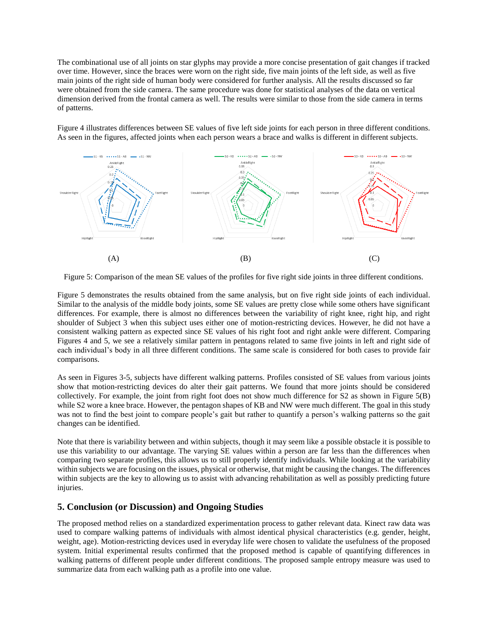The combinational use of all joints on star glyphs may provide a more concise presentation of gait changes if tracked over time. However, since the braces were worn on the right side, five main joints of the left side, as well as five main joints of the right side of human body were considered for further analysis. All the results discussed so far were obtained from the side camera. The same procedure was done for statistical analyses of the data on vertical dimension derived from the frontal camera as well. The results were similar to those from the side camera in terms of patterns.

Figure 4 illustrates differences between SE values of five left side joints for each person in three different conditions. As seen in the figures, affected joints when each person wears a brace and walks is different in different subjects.



Figure 5: Comparison of the mean SE values of the profiles for five right side joints in three different conditions.

Figure 5 demonstrates the results obtained from the same analysis, but on five right side joints of each individual. Similar to the analysis of the middle body joints, some SE values are pretty close while some others have significant differences. For example, there is almost no differences between the variability of right knee, right hip, and right shoulder of Subject 3 when this subject uses either one of motion-restricting devices. However, he did not have a consistent walking pattern as expected since SE values of his right foot and right ankle were different. Comparing Figures 4 and 5, we see a relatively similar pattern in pentagons related to same five joints in left and right side of each individual's body in all three different conditions. The same scale is considered for both cases to provide fair comparisons.

As seen in Figures 3-5, subjects have different walking patterns. Profiles consisted of SE values from various joints show that motion-restricting devices do alter their gait patterns. We found that more joints should be considered collectively. For example, the joint from right foot does not show much difference for S2 as shown in Figure 5(B) while S2 wore a knee brace. However, the pentagon shapes of KB and NW were much different. The goal in this study was not to find the best joint to compare people's gait but rather to quantify a person's walking patterns so the gait changes can be identified.

Note that there is variability between and within subjects, though it may seem like a possible obstacle it is possible to use this variability to our advantage. The varying SE values within a person are far less than the differences when comparing two separate profiles, this allows us to still properly identify individuals. While looking at the variability within subjects we are focusing on the issues, physical or otherwise, that might be causing the changes. The differences within subjects are the key to allowing us to assist with advancing rehabilitation as well as possibly predicting future injuries.

# **5. Conclusion (or Discussion) and Ongoing Studies**

The proposed method relies on a standardized experimentation process to gather relevant data. Kinect raw data was used to compare walking patterns of individuals with almost identical physical characteristics (e.g. gender, height, weight, age). Motion-restricting devices used in everyday life were chosen to validate the usefulness of the proposed system. Initial experimental results confirmed that the proposed method is capable of quantifying differences in walking patterns of different people under different conditions. The proposed sample entropy measure was used to summarize data from each walking path as a profile into one value.